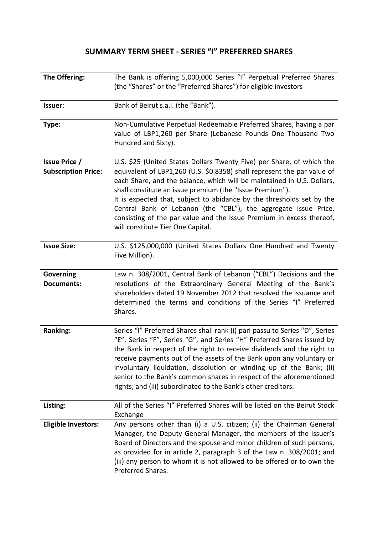## **SUMMARY TERM SHEET - SERIES "I" PREFERRED SHARES**

| The Offering:                                      | The Bank is offering 5,000,000 Series "I" Perpetual Preferred Shares<br>(the "Shares" or the "Preferred Shares") for eligible investors                                                                                                                                                                                                                                                                                                                                                                                                         |
|----------------------------------------------------|-------------------------------------------------------------------------------------------------------------------------------------------------------------------------------------------------------------------------------------------------------------------------------------------------------------------------------------------------------------------------------------------------------------------------------------------------------------------------------------------------------------------------------------------------|
| Issuer:                                            | Bank of Beirut s.a.l. (the "Bank").                                                                                                                                                                                                                                                                                                                                                                                                                                                                                                             |
| Type:                                              | Non-Cumulative Perpetual Redeemable Preferred Shares, having a par<br>value of LBP1,260 per Share (Lebanese Pounds One Thousand Two<br>Hundred and Sixty).                                                                                                                                                                                                                                                                                                                                                                                      |
| <b>Issue Price /</b><br><b>Subscription Price:</b> | U.S. \$25 (United States Dollars Twenty Five) per Share, of which the<br>equivalent of LBP1,260 (U.S. \$0.8358) shall represent the par value of<br>each Share, and the balance, which will be maintained in U.S. Dollars,<br>shall constitute an issue premium (the "Issue Premium").<br>It is expected that, subject to abidance by the thresholds set by the<br>Central Bank of Lebanon (the "CBL"), the aggregate Issue Price,<br>consisting of the par value and the Issue Premium in excess thereof,<br>will constitute Tier One Capital. |
| <b>Issue Size:</b>                                 | U.S. \$125,000,000 (United States Dollars One Hundred and Twenty<br>Five Million).                                                                                                                                                                                                                                                                                                                                                                                                                                                              |
| <b>Governing</b><br><b>Documents:</b>              | Law n. 308/2001, Central Bank of Lebanon ("CBL") Decisions and the<br>resolutions of the Extraordinary General Meeting of the Bank's<br>shareholders dated 19 November 2012 that resolved the issuance and<br>determined the terms and conditions of the Series "I" Preferred<br>Shares.                                                                                                                                                                                                                                                        |
| Ranking:                                           | Series "I" Preferred Shares shall rank (i) pari passu to Series "D", Series<br>"E", Series "F", Series "G", and Series "H" Preferred Shares issued by<br>the Bank in respect of the right to receive dividends and the right to<br>receive payments out of the assets of the Bank upon any voluntary or<br>involuntary liquidation, dissolution or winding up of the Bank; (ii)<br>senior to the Bank's common shares in respect of the aforementioned<br>rights; and (iii) subordinated to the Bank's other creditors.                         |
| Listing:                                           | All of the Series "I" Preferred Shares will be listed on the Beirut Stock<br>Exchange                                                                                                                                                                                                                                                                                                                                                                                                                                                           |
| <b>Eligible Investors:</b>                         | Any persons other than (i) a U.S. citizen; (ii) the Chairman General<br>Manager, the Deputy General Manager, the members of the Issuer's<br>Board of Directors and the spouse and minor children of such persons,<br>as provided for in article 2, paragraph 3 of the Law n. 308/2001; and<br>(iii) any person to whom it is not allowed to be offered or to own the<br>Preferred Shares.                                                                                                                                                       |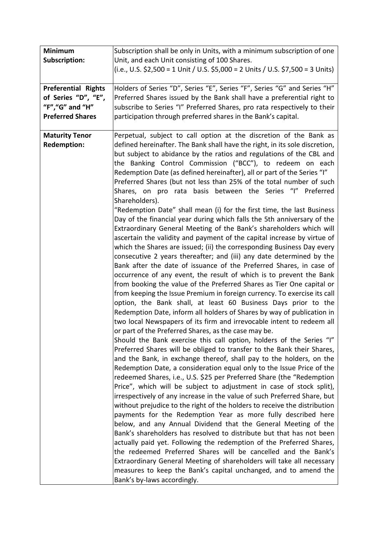| <b>Minimum</b>                                                                                   | Subscription shall be only in Units, with a minimum subscription of one                                                                                                                                                                                                                                                                                                                                                                                                                                                                                                                                                                                                                                                                                                                                                                                                                                                                                                                                                                                                                                                                                                                                                                                                                                                                                                                                                                                                                                                                                                                                                                                                                                                                                                                                                                                                                                                                                                                                                                                                                                                                                                                                                                                                                                                                                                                                                                                                                                                                                                                                                                                                                                       |
|--------------------------------------------------------------------------------------------------|---------------------------------------------------------------------------------------------------------------------------------------------------------------------------------------------------------------------------------------------------------------------------------------------------------------------------------------------------------------------------------------------------------------------------------------------------------------------------------------------------------------------------------------------------------------------------------------------------------------------------------------------------------------------------------------------------------------------------------------------------------------------------------------------------------------------------------------------------------------------------------------------------------------------------------------------------------------------------------------------------------------------------------------------------------------------------------------------------------------------------------------------------------------------------------------------------------------------------------------------------------------------------------------------------------------------------------------------------------------------------------------------------------------------------------------------------------------------------------------------------------------------------------------------------------------------------------------------------------------------------------------------------------------------------------------------------------------------------------------------------------------------------------------------------------------------------------------------------------------------------------------------------------------------------------------------------------------------------------------------------------------------------------------------------------------------------------------------------------------------------------------------------------------------------------------------------------------------------------------------------------------------------------------------------------------------------------------------------------------------------------------------------------------------------------------------------------------------------------------------------------------------------------------------------------------------------------------------------------------------------------------------------------------------------------------------------------------|
| <b>Subscription:</b>                                                                             | Unit, and each Unit consisting of 100 Shares.                                                                                                                                                                                                                                                                                                                                                                                                                                                                                                                                                                                                                                                                                                                                                                                                                                                                                                                                                                                                                                                                                                                                                                                                                                                                                                                                                                                                                                                                                                                                                                                                                                                                                                                                                                                                                                                                                                                                                                                                                                                                                                                                                                                                                                                                                                                                                                                                                                                                                                                                                                                                                                                                 |
|                                                                                                  | (i.e., U.S. \$2,500 = 1 Unit / U.S. \$5,000 = 2 Units / U.S. \$7,500 = 3 Units)                                                                                                                                                                                                                                                                                                                                                                                                                                                                                                                                                                                                                                                                                                                                                                                                                                                                                                                                                                                                                                                                                                                                                                                                                                                                                                                                                                                                                                                                                                                                                                                                                                                                                                                                                                                                                                                                                                                                                                                                                                                                                                                                                                                                                                                                                                                                                                                                                                                                                                                                                                                                                               |
| <b>Preferential Rights</b><br>of Series "D", "E",<br>"F", "G" and "H"<br><b>Preferred Shares</b> | Holders of Series "D", Series "E", Series "F", Series "G" and Series "H"<br>Preferred Shares issued by the Bank shall have a preferential right to<br>subscribe to Series "I" Preferred Shares, pro rata respectively to their<br>participation through preferred shares in the Bank's capital.                                                                                                                                                                                                                                                                                                                                                                                                                                                                                                                                                                                                                                                                                                                                                                                                                                                                                                                                                                                                                                                                                                                                                                                                                                                                                                                                                                                                                                                                                                                                                                                                                                                                                                                                                                                                                                                                                                                                                                                                                                                                                                                                                                                                                                                                                                                                                                                                               |
| <b>Maturity Tenor</b><br><b>Redemption:</b>                                                      | Perpetual, subject to call option at the discretion of the Bank as<br>defined hereinafter. The Bank shall have the right, in its sole discretion,<br>but subject to abidance by the ratios and regulations of the CBL and<br>the Banking Control Commission ("BCC"), to redeem on each<br>Redemption Date (as defined hereinafter), all or part of the Series "I"<br>Preferred Shares (but not less than 25% of the total number of such<br>Shares, on pro rata basis between the Series "I" Preferred<br>Shareholders).<br>"Redemption Date" shall mean (i) for the first time, the last Business<br>Day of the financial year during which falls the 5th anniversary of the<br>Extraordinary General Meeting of the Bank's shareholders which will<br>ascertain the validity and payment of the capital increase by virtue of<br>which the Shares are issued; (ii) the corresponding Business Day every<br>consecutive 2 years thereafter; and (iii) any date determined by the<br>Bank after the date of issuance of the Preferred Shares, in case of<br>occurrence of any event, the result of which is to prevent the Bank<br>from booking the value of the Preferred Shares as Tier One capital or<br>from keeping the Issue Premium in foreign currency. To exercise its call<br>option, the Bank shall, at least 60 Business Days prior to the<br>Redemption Date, inform all holders of Shares by way of publication in<br>two local Newspapers of its firm and irrevocable intent to redeem all<br>or part of the Preferred Shares, as the case may be.<br>Should the Bank exercise this call option, holders of the Series "I"<br>Preferred Shares will be obliged to transfer to the Bank their Shares,<br>and the Bank, in exchange thereof, shall pay to the holders, on the<br>Redemption Date, a consideration equal only to the Issue Price of the<br>redeemed Shares, i.e., U.S. \$25 per Preferred Share (the "Redemption<br>Price", which will be subject to adjustment in case of stock split),<br>irrespectively of any increase in the value of such Preferred Share, but<br>without prejudice to the right of the holders to receive the distribution<br>payments for the Redemption Year as more fully described here<br>below, and any Annual Dividend that the General Meeting of the<br>Bank's shareholders has resolved to distribute but that has not been<br>actually paid yet. Following the redemption of the Preferred Shares,<br>the redeemed Preferred Shares will be cancelled and the Bank's<br>Extraordinary General Meeting of shareholders will take all necessary<br>measures to keep the Bank's capital unchanged, and to amend the<br>Bank's by-laws accordingly. |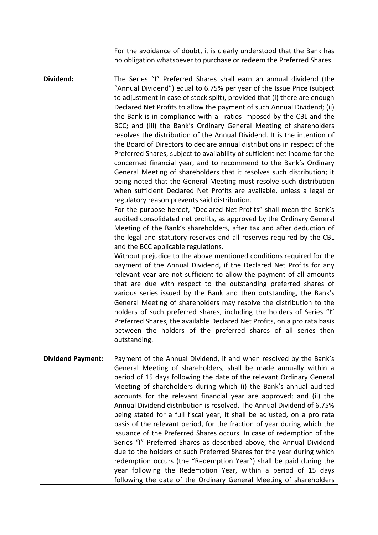|                          | For the avoidance of doubt, it is clearly understood that the Bank has<br>no obligation whatsoever to purchase or redeem the Preferred Shares.                                                                                                                                                                                                                                                                                                                                                                                                                                                                                                                                                                                                                                                                                                                                                                                                                                                                                                                                                                                                                                                                                                                                                                                                                                                                                                                                                                                                                                                                                                                                                                                                                                                                                                                                                                                                                                                                                                                    |
|--------------------------|-------------------------------------------------------------------------------------------------------------------------------------------------------------------------------------------------------------------------------------------------------------------------------------------------------------------------------------------------------------------------------------------------------------------------------------------------------------------------------------------------------------------------------------------------------------------------------------------------------------------------------------------------------------------------------------------------------------------------------------------------------------------------------------------------------------------------------------------------------------------------------------------------------------------------------------------------------------------------------------------------------------------------------------------------------------------------------------------------------------------------------------------------------------------------------------------------------------------------------------------------------------------------------------------------------------------------------------------------------------------------------------------------------------------------------------------------------------------------------------------------------------------------------------------------------------------------------------------------------------------------------------------------------------------------------------------------------------------------------------------------------------------------------------------------------------------------------------------------------------------------------------------------------------------------------------------------------------------------------------------------------------------------------------------------------------------|
| Dividend:                | The Series "I" Preferred Shares shall earn an annual dividend (the<br>"Annual Dividend") equal to 6.75% per year of the Issue Price (subject<br>to adjustment in case of stock split), provided that (i) there are enough<br>Declared Net Profits to allow the payment of such Annual Dividend; (ii)<br>the Bank is in compliance with all ratios imposed by the CBL and the<br>BCC; and (iii) the Bank's Ordinary General Meeting of shareholders<br>resolves the distribution of the Annual Dividend. It is the intention of<br>the Board of Directors to declare annual distributions in respect of the<br>Preferred Shares, subject to availability of sufficient net income for the<br>concerned financial year, and to recommend to the Bank's Ordinary<br>General Meeting of shareholders that it resolves such distribution; it<br>being noted that the General Meeting must resolve such distribution<br>when sufficient Declared Net Profits are available, unless a legal or<br>regulatory reason prevents said distribution.<br>For the purpose hereof, "Declared Net Profits" shall mean the Bank's<br>audited consolidated net profits, as approved by the Ordinary General<br>Meeting of the Bank's shareholders, after tax and after deduction of<br>the legal and statutory reserves and all reserves required by the CBL<br>and the BCC applicable regulations.<br>Without prejudice to the above mentioned conditions required for the<br>payment of the Annual Dividend, if the Declared Net Profits for any<br>relevant year are not sufficient to allow the payment of all amounts<br>that are due with respect to the outstanding preferred shares of<br>various series issued by the Bank and then outstanding, the Bank's<br>General Meeting of shareholders may resolve the distribution to the<br>holders of such preferred shares, including the holders of Series "I"<br>Preferred Shares, the available Declared Net Profits, on a pro rata basis<br>between the holders of the preferred shares of all series then<br>outstanding. |
| <b>Dividend Payment:</b> | Payment of the Annual Dividend, if and when resolved by the Bank's<br>General Meeting of shareholders, shall be made annually within a<br>period of 15 days following the date of the relevant Ordinary General<br>Meeting of shareholders during which (i) the Bank's annual audited<br>accounts for the relevant financial year are approved; and (ii) the<br>Annual Dividend distribution is resolved. The Annual Dividend of 6.75%<br>being stated for a full fiscal year, it shall be adjusted, on a pro rata<br>basis of the relevant period, for the fraction of year during which the<br>issuance of the Preferred Shares occurs. In case of redemption of the<br>Series "I" Preferred Shares as described above, the Annual Dividend<br>due to the holders of such Preferred Shares for the year during which<br>redemption occurs (the "Redemption Year") shall be paid during the<br>year following the Redemption Year, within a period of 15 days<br>following the date of the Ordinary General Meeting of shareholders                                                                                                                                                                                                                                                                                                                                                                                                                                                                                                                                                                                                                                                                                                                                                                                                                                                                                                                                                                                                                              |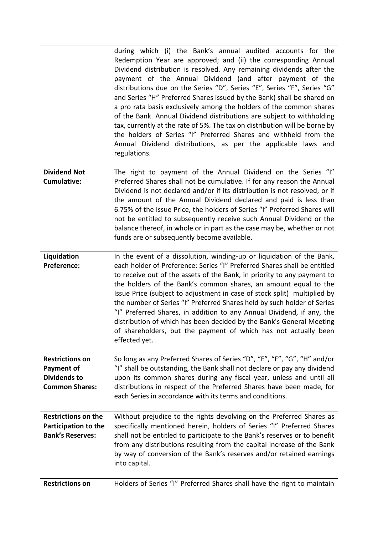|                                                                                             | during which (i) the Bank's annual audited accounts for the<br>Redemption Year are approved; and (ii) the corresponding Annual<br>Dividend distribution is resolved. Any remaining dividends after the<br>payment of the Annual Dividend (and after payment of the<br>distributions due on the Series "D", Series "E", Series "F", Series "G"<br>and Series "H" Preferred Shares issued by the Bank) shall be shared on<br>a pro rata basis exclusively among the holders of the common shares<br>of the Bank. Annual Dividend distributions are subject to withholding<br>tax, currently at the rate of 5%. The tax on distribution will be borne by<br>the holders of Series "I" Preferred Shares and withheld from the<br>Annual Dividend distributions, as per the applicable laws and<br>regulations. |
|---------------------------------------------------------------------------------------------|------------------------------------------------------------------------------------------------------------------------------------------------------------------------------------------------------------------------------------------------------------------------------------------------------------------------------------------------------------------------------------------------------------------------------------------------------------------------------------------------------------------------------------------------------------------------------------------------------------------------------------------------------------------------------------------------------------------------------------------------------------------------------------------------------------|
| <b>Dividend Not</b>                                                                         | The right to payment of the Annual Dividend on the Series "I"                                                                                                                                                                                                                                                                                                                                                                                                                                                                                                                                                                                                                                                                                                                                              |
| <b>Cumulative:</b>                                                                          | Preferred Shares shall not be cumulative. If for any reason the Annual<br>Dividend is not declared and/or if its distribution is not resolved, or if<br>the amount of the Annual Dividend declared and paid is less than<br>6.75% of the Issue Price, the holders of Series "I" Preferred Shares will<br>not be entitled to subsequently receive such Annual Dividend or the<br>balance thereof, in whole or in part as the case may be, whether or not<br>funds are or subsequently become available.                                                                                                                                                                                                                                                                                                     |
| Liquidation<br><b>Preference:</b>                                                           | In the event of a dissolution, winding-up or liquidation of the Bank,<br>each holder of Preference: Series "I" Preferred Shares shall be entitled                                                                                                                                                                                                                                                                                                                                                                                                                                                                                                                                                                                                                                                          |
|                                                                                             | to receive out of the assets of the Bank, in priority to any payment to<br>the holders of the Bank's common shares, an amount equal to the<br>Issue Price (subject to adjustment in case of stock split) multiplied by<br>the number of Series "I" Preferred Shares held by such holder of Series<br>"I" Preferred Shares, in addition to any Annual Dividend, if any, the<br>distribution of which has been decided by the Bank's General Meeting<br>of shareholders, but the payment of which has not actually been<br>effected yet.                                                                                                                                                                                                                                                                     |
|                                                                                             |                                                                                                                                                                                                                                                                                                                                                                                                                                                                                                                                                                                                                                                                                                                                                                                                            |
| <b>Restrictions on</b><br><b>Payment of</b><br><b>Dividends to</b><br><b>Common Shares:</b> | So long as any Preferred Shares of Series "D", "E", "F", "G", "H" and/or<br>"I" shall be outstanding, the Bank shall not declare or pay any dividend<br>upon its common shares during any fiscal year, unless and until all<br>distributions in respect of the Preferred Shares have been made, for<br>each Series in accordance with its terms and conditions.                                                                                                                                                                                                                                                                                                                                                                                                                                            |
| <b>Restrictions on the</b><br>Participation to the<br><b>Bank's Reserves:</b>               | Without prejudice to the rights devolving on the Preferred Shares as<br>specifically mentioned herein, holders of Series "I" Preferred Shares<br>shall not be entitled to participate to the Bank's reserves or to benefit<br>from any distributions resulting from the capital increase of the Bank<br>by way of conversion of the Bank's reserves and/or retained earnings<br>into capital.                                                                                                                                                                                                                                                                                                                                                                                                              |
| <b>Restrictions on</b>                                                                      | Holders of Series "I" Preferred Shares shall have the right to maintain                                                                                                                                                                                                                                                                                                                                                                                                                                                                                                                                                                                                                                                                                                                                    |